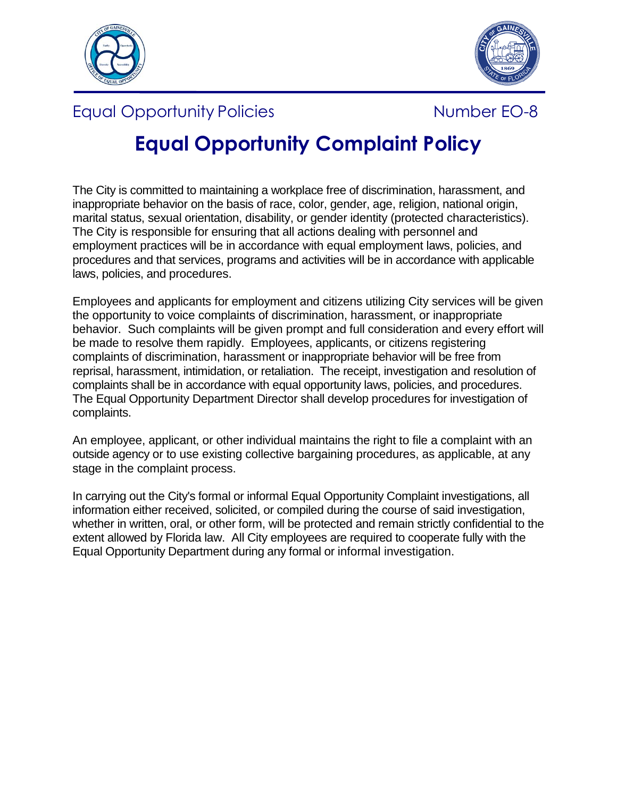



## Equal Opportunity Policies **Number EO-8**



# **Equal Opportunity Complaint Policy**

The City is committed to maintaining a workplace free of discrimination, harassment, and inappropriate behavior on the basis of race, color, gender, age, religion, national origin, marital status, sexual orientation, disability, or gender identity (protected characteristics). The City is responsible for ensuring that all actions dealing with personnel and employment practices will be in accordance with equal employment laws, policies, and procedures and that services, programs and activities will be in accordance with applicable laws, policies, and procedures.

Employees and applicants for employment and citizens utilizing City services will be given the opportunity to voice complaints of discrimination, harassment, or inappropriate behavior. Such complaints will be given prompt and full consideration and every effort will be made to resolve them rapidly. Employees, applicants, or citizens registering complaints of discrimination, harassment or inappropriate behavior will be free from reprisal, harassment, intimidation, or retaliation. The receipt, investigation and resolution of complaints shall be in accordance with equal opportunity laws, policies, and procedures. The Equal Opportunity Department Director shall develop procedures for investigation of complaints.

An employee, applicant, or other individual maintains the right to file a complaint with an outside agency or to use existing collective bargaining procedures, as applicable, at any stage in the complaint process.

In carrying out the City's formal or informal Equal Opportunity Complaint investigations, all information either received, solicited, or compiled during the course of said investigation, whether in written, oral, or other form, will be protected and remain strictly confidential to the extent allowed by Florida law. All City employees are required to cooperate fully with the Equal Opportunity Department during any formal or informal investigation.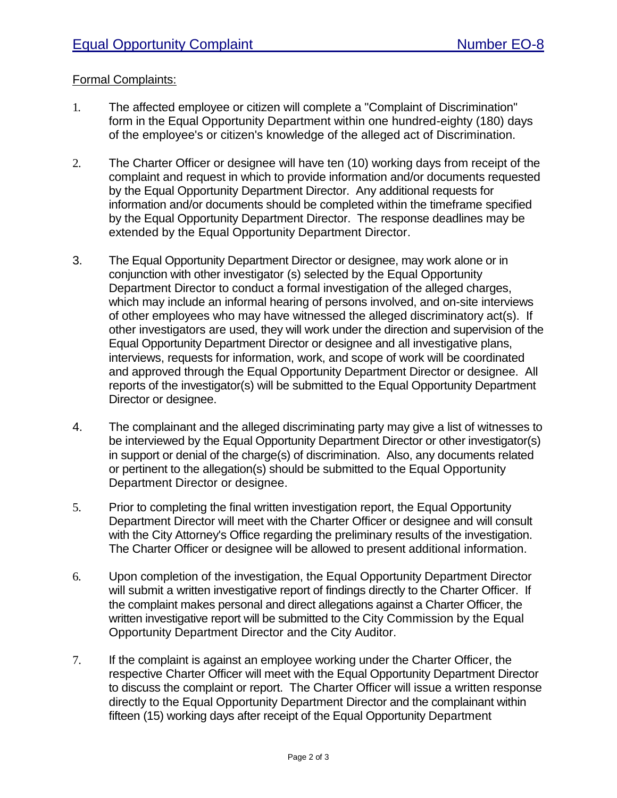### Formal Complaints:

- 1. The affected employee or citizen will complete a "Complaint of Discrimination" form in the Equal Opportunity Department within one hundred-eighty (180) days of the employee's or citizen's knowledge of the alleged act of Discrimination.
- 2. The Charter Officer or designee will have ten (10) working days from receipt of the complaint and request in which to provide information and/or documents requested by the Equal Opportunity Department Director. Any additional requests for information and/or documents should be completed within the timeframe specified by the Equal Opportunity Department Director. The response deadlines may be extended by the Equal Opportunity Department Director.
- 3. The Equal Opportunity Department Director or designee, may work alone or in conjunction with other investigator (s) selected by the Equal Opportunity Department Director to conduct a formal investigation of the alleged charges, which may include an informal hearing of persons involved, and on-site interviews of other employees who may have witnessed the alleged discriminatory act(s). If other investigators are used, they will work under the direction and supervision of the Equal Opportunity Department Director or designee and all investigative plans, interviews, requests for information, work, and scope of work will be coordinated and approved through the Equal Opportunity Department Director or designee. All reports of the investigator(s) will be submitted to the Equal Opportunity Department Director or designee.
- 4. The complainant and the alleged discriminating party may give a list of witnesses to be interviewed by the Equal Opportunity Department Director or other investigator(s) in support or denial of the charge(s) of discrimination. Also, any documents related or pertinent to the allegation(s) should be submitted to the Equal Opportunity Department Director or designee.
- 5. Prior to completing the final written investigation report, the Equal Opportunity Department Director will meet with the Charter Officer or designee and will consult with the City Attorney's Office regarding the preliminary results of the investigation. The Charter Officer or designee will be allowed to present additional information.
- 6. Upon completion of the investigation, the Equal Opportunity Department Director will submit a written investigative report of findings directly to the Charter Officer. If the complaint makes personal and direct allegations against a Charter Officer, the written investigative report will be submitted to the City Commission by the Equal Opportunity Department Director and the City Auditor.
- 7. If the complaint is against an employee working under the Charter Officer, the respective Charter Officer will meet with the Equal Opportunity Department Director to discuss the complaint or report. The Charter Officer will issue a written response directly to the Equal Opportunity Department Director and the complainant within fifteen (15) working days after receipt of the Equal Opportunity Department